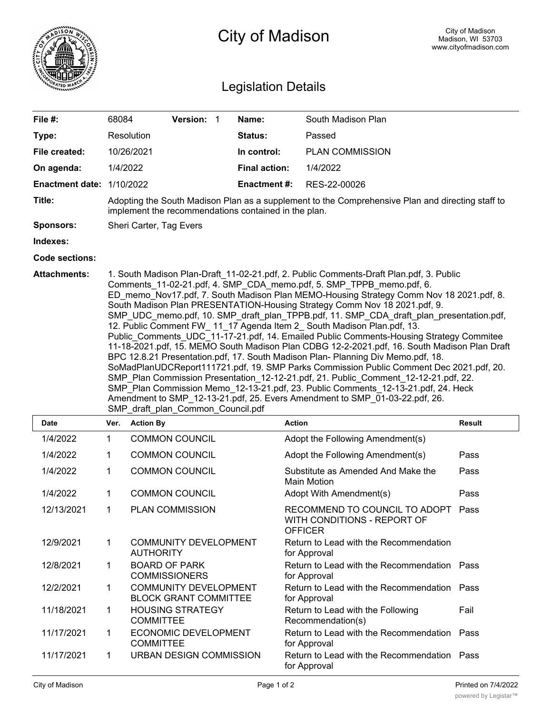

## City of Madison

## Legislation Details

| File #:                | 68084                                                                                                                                                                                                                                                                                                                                                                                                                                                                                                                                                                                                                                                                                                                                                                                                                                                                                                                                                                                                                                                                                                                                                                                  |                  | Version: 1                                            |  | Name:                | South Madison Plan                                                             |               |
|------------------------|----------------------------------------------------------------------------------------------------------------------------------------------------------------------------------------------------------------------------------------------------------------------------------------------------------------------------------------------------------------------------------------------------------------------------------------------------------------------------------------------------------------------------------------------------------------------------------------------------------------------------------------------------------------------------------------------------------------------------------------------------------------------------------------------------------------------------------------------------------------------------------------------------------------------------------------------------------------------------------------------------------------------------------------------------------------------------------------------------------------------------------------------------------------------------------------|------------------|-------------------------------------------------------|--|----------------------|--------------------------------------------------------------------------------|---------------|
| Type:                  |                                                                                                                                                                                                                                                                                                                                                                                                                                                                                                                                                                                                                                                                                                                                                                                                                                                                                                                                                                                                                                                                                                                                                                                        | Resolution       |                                                       |  | Status:              | Passed                                                                         |               |
| File created:          |                                                                                                                                                                                                                                                                                                                                                                                                                                                                                                                                                                                                                                                                                                                                                                                                                                                                                                                                                                                                                                                                                                                                                                                        | 10/26/2021       |                                                       |  | In control:          | <b>PLAN COMMISSION</b>                                                         |               |
| On agenda:             |                                                                                                                                                                                                                                                                                                                                                                                                                                                                                                                                                                                                                                                                                                                                                                                                                                                                                                                                                                                                                                                                                                                                                                                        | 1/4/2022         |                                                       |  | <b>Final action:</b> | 1/4/2022                                                                       |               |
| <b>Enactment date:</b> |                                                                                                                                                                                                                                                                                                                                                                                                                                                                                                                                                                                                                                                                                                                                                                                                                                                                                                                                                                                                                                                                                                                                                                                        | 1/10/2022        |                                                       |  | <b>Enactment#:</b>   | RES-22-00026                                                                   |               |
| Title:                 | Adopting the South Madison Plan as a supplement to the Comprehensive Plan and directing staff to<br>implement the recommendations contained in the plan.                                                                                                                                                                                                                                                                                                                                                                                                                                                                                                                                                                                                                                                                                                                                                                                                                                                                                                                                                                                                                               |                  |                                                       |  |                      |                                                                                |               |
| <b>Sponsors:</b>       | Sheri Carter, Tag Evers                                                                                                                                                                                                                                                                                                                                                                                                                                                                                                                                                                                                                                                                                                                                                                                                                                                                                                                                                                                                                                                                                                                                                                |                  |                                                       |  |                      |                                                                                |               |
| Indexes:               |                                                                                                                                                                                                                                                                                                                                                                                                                                                                                                                                                                                                                                                                                                                                                                                                                                                                                                                                                                                                                                                                                                                                                                                        |                  |                                                       |  |                      |                                                                                |               |
| <b>Code sections:</b>  |                                                                                                                                                                                                                                                                                                                                                                                                                                                                                                                                                                                                                                                                                                                                                                                                                                                                                                                                                                                                                                                                                                                                                                                        |                  |                                                       |  |                      |                                                                                |               |
|                        | 1. South Madison Plan-Draft_11-02-21.pdf, 2. Public Comments-Draft Plan.pdf, 3. Public<br>Comments_11-02-21.pdf, 4. SMP_CDA_memo.pdf, 5. SMP_TPPB_memo.pdf, 6.<br>ED memo Nov17.pdf, 7. South Madison Plan MEMO-Housing Strategy Comm Nov 18 2021.pdf, 8.<br>South Madison Plan PRESENTATION-Housing Strategy Comm Nov 18 2021.pdf, 9.<br>SMP_UDC_memo.pdf, 10. SMP_draft_plan_TPPB.pdf, 11. SMP_CDA_draft_plan_presentation.pdf,<br>12. Public Comment FW_ 11_17 Agenda Item 2_ South Madison Plan.pdf, 13.<br>Public Comments UDC 11-17-21.pdf, 14. Emailed Public Comments-Housing Strategy Commitee<br>11-18-2021.pdf, 15. MEMO South Madison Plan CDBG 12-2-2021.pdf, 16. South Madison Plan Draft<br>BPC 12.8.21 Presentation.pdf, 17. South Madison Plan- Planning Div Memo.pdf, 18.<br>SoMadPlanUDCReport111721.pdf, 19. SMP Parks Commission Public Comment Dec 2021.pdf, 20.<br>SMP_Plan Commission Presentation_12-12-21.pdf, 21. Public_Comment_12-12-21.pdf, 22.<br>SMP_Plan Commission Memo_12-13-21.pdf, 23. Public Comments_12-13-21.pdf, 24. Heck<br>Amendment to SMP_12-13-21.pdf, 25. Evers Amendment to SMP_01-03-22.pdf, 26.<br>SMP draft plan Common Council.pdf |                  |                                                       |  |                      |                                                                                |               |
| <b>Date</b>            | Ver.                                                                                                                                                                                                                                                                                                                                                                                                                                                                                                                                                                                                                                                                                                                                                                                                                                                                                                                                                                                                                                                                                                                                                                                   | <b>Action By</b> |                                                       |  |                      | <b>Action</b>                                                                  | <b>Result</b> |
| 1/4/2022               | 1                                                                                                                                                                                                                                                                                                                                                                                                                                                                                                                                                                                                                                                                                                                                                                                                                                                                                                                                                                                                                                                                                                                                                                                      |                  | <b>COMMON COUNCIL</b>                                 |  |                      | Adopt the Following Amendment(s)                                               |               |
| 1/4/2022               | 1                                                                                                                                                                                                                                                                                                                                                                                                                                                                                                                                                                                                                                                                                                                                                                                                                                                                                                                                                                                                                                                                                                                                                                                      |                  | <b>COMMON COUNCIL</b>                                 |  |                      | Adopt the Following Amendment(s)                                               | Pass          |
| 1/4/2022               | 1                                                                                                                                                                                                                                                                                                                                                                                                                                                                                                                                                                                                                                                                                                                                                                                                                                                                                                                                                                                                                                                                                                                                                                                      |                  | <b>COMMON COUNCIL</b>                                 |  |                      | Substitute as Amended And Make the<br><b>Main Motion</b>                       | Pass          |
| 1/4/2022               | 1                                                                                                                                                                                                                                                                                                                                                                                                                                                                                                                                                                                                                                                                                                                                                                                                                                                                                                                                                                                                                                                                                                                                                                                      |                  | <b>COMMON COUNCIL</b>                                 |  |                      | Adopt With Amendment(s)                                                        | Pass          |
| 12/13/2021             | $\mathbf{1}$                                                                                                                                                                                                                                                                                                                                                                                                                                                                                                                                                                                                                                                                                                                                                                                                                                                                                                                                                                                                                                                                                                                                                                           |                  | <b>PLAN COMMISSION</b>                                |  |                      | RECOMMEND TO COUNCIL TO ADOPT<br>WITH CONDITIONS - REPORT OF<br><b>OFFICER</b> | Pass          |
| 12/9/2021              | $\mathbf{1}$                                                                                                                                                                                                                                                                                                                                                                                                                                                                                                                                                                                                                                                                                                                                                                                                                                                                                                                                                                                                                                                                                                                                                                           | <b>AUTHORITY</b> | <b>COMMUNITY DEVELOPMENT</b>                          |  |                      | Return to Lead with the Recommendation<br>for Approval                         |               |
| 12/8/2021              | 1                                                                                                                                                                                                                                                                                                                                                                                                                                                                                                                                                                                                                                                                                                                                                                                                                                                                                                                                                                                                                                                                                                                                                                                      |                  | <b>BOARD OF PARK</b><br><b>COMMISSIONERS</b>          |  |                      | Return to Lead with the Recommendation Pass<br>for Approval                    |               |
| 12/2/2021              | 1                                                                                                                                                                                                                                                                                                                                                                                                                                                                                                                                                                                                                                                                                                                                                                                                                                                                                                                                                                                                                                                                                                                                                                                      |                  | COMMUNITY DEVELOPMENT<br><b>BLOCK GRANT COMMITTEE</b> |  |                      | Return to Lead with the Recommendation Pass<br>for Approval                    |               |
| 11/18/2021             | 1                                                                                                                                                                                                                                                                                                                                                                                                                                                                                                                                                                                                                                                                                                                                                                                                                                                                                                                                                                                                                                                                                                                                                                                      | <b>COMMITTEE</b> | <b>HOUSING STRATEGY</b>                               |  |                      | Return to Lead with the Following<br>Recommendation(s)                         | Fail          |
| 11/17/2021             | $\mathbf{1}$                                                                                                                                                                                                                                                                                                                                                                                                                                                                                                                                                                                                                                                                                                                                                                                                                                                                                                                                                                                                                                                                                                                                                                           | <b>COMMITTEE</b> | ECONOMIC DEVELOPMENT                                  |  |                      | Return to Lead with the Recommendation<br>for Approval                         | Pass          |
| 11/17/2021             | 1                                                                                                                                                                                                                                                                                                                                                                                                                                                                                                                                                                                                                                                                                                                                                                                                                                                                                                                                                                                                                                                                                                                                                                                      |                  | URBAN DESIGN COMMISSION                               |  |                      | Return to Lead with the Recommendation Pass<br>for Approval                    |               |